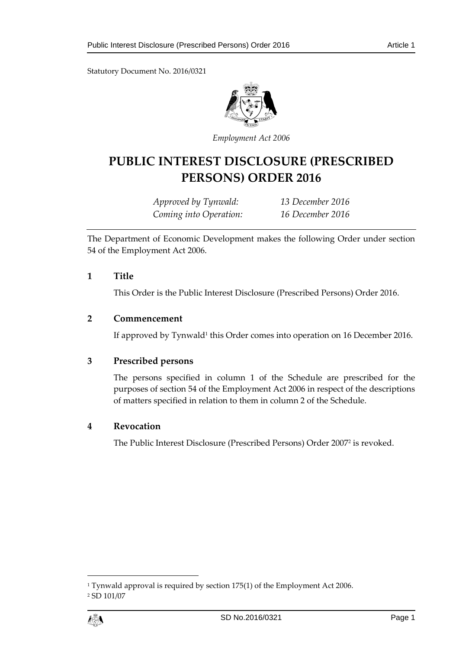Statutory Document No. 2016/0321



*Employment Act 2006*

# **PUBLIC INTEREST DISCLOSURE (PRESCRIBED PERSONS) ORDER 2016**

*Approved by Tynwald: 13 December 2016 Coming into Operation: 16 December 2016*

The Department of Economic Development makes the following Order under section 54 of the Employment Act 2006.

#### **1 Title**

This Order is the Public Interest Disclosure (Prescribed Persons) Order 2016.

#### **2 Commencement**

If approved by Tynwald<sup>1</sup> this Order comes into operation on 16 December 2016.

## **3 Prescribed persons**

The persons specified in column 1 of the Schedule are prescribed for the purposes of section 54 of the Employment Act 2006 in respect of the descriptions of matters specified in relation to them in column 2 of the Schedule.

## **4 Revocation**

The Public Interest Disclosure (Prescribed Persons) Order 2007<sup>2</sup> is revoked.

 $\overline{a}$ 

<sup>1</sup> Tynwald approval is required by section 175(1) of the Employment Act 2006. <sup>2</sup> SD 101/07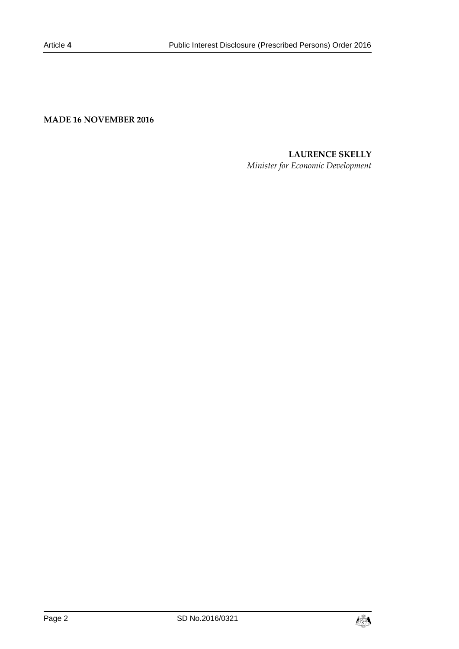**MADE 16 NOVEMBER 2016**

# **LAURENCE SKELLY**

*Minister for Economic Development*

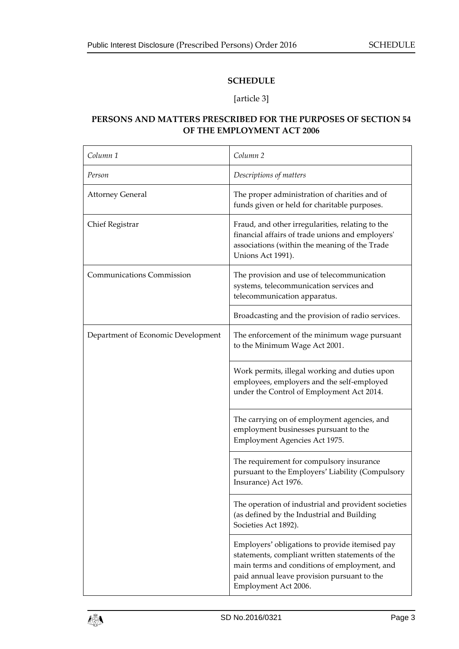#### **SCHEDULE**

#### [article 3]

# **PERSONS AND MATTERS PRESCRIBED FOR THE PURPOSES OF SECTION 54 OF THE EMPLOYMENT ACT 2006**

| Column <sub>1</sub>                | Column <sub>2</sub>                                                                                                                                                                                                      |
|------------------------------------|--------------------------------------------------------------------------------------------------------------------------------------------------------------------------------------------------------------------------|
| Person                             | Descriptions of matters                                                                                                                                                                                                  |
| <b>Attorney General</b>            | The proper administration of charities and of<br>funds given or held for charitable purposes.                                                                                                                            |
| Chief Registrar                    | Fraud, and other irregularities, relating to the<br>financial affairs of trade unions and employers'<br>associations (within the meaning of the Trade<br>Unions Act 1991).                                               |
| <b>Communications Commission</b>   | The provision and use of telecommunication<br>systems, telecommunication services and<br>telecommunication apparatus.                                                                                                    |
|                                    | Broadcasting and the provision of radio services.                                                                                                                                                                        |
| Department of Economic Development | The enforcement of the minimum wage pursuant<br>to the Minimum Wage Act 2001.                                                                                                                                            |
|                                    | Work permits, illegal working and duties upon<br>employees, employers and the self-employed<br>under the Control of Employment Act 2014.                                                                                 |
|                                    | The carrying on of employment agencies, and<br>employment businesses pursuant to the<br>Employment Agencies Act 1975.                                                                                                    |
|                                    | The requirement for compulsory insurance<br>pursuant to the Employers' Liability (Compulsory<br>Insurance) Act 1976.                                                                                                     |
|                                    | The operation of industrial and provident societies<br>(as defined by the Industrial and Building<br>Societies Act 1892).                                                                                                |
|                                    | Employers' obligations to provide itemised pay<br>statements, compliant written statements of the<br>main terms and conditions of employment, and<br>paid annual leave provision pursuant to the<br>Employment Act 2006. |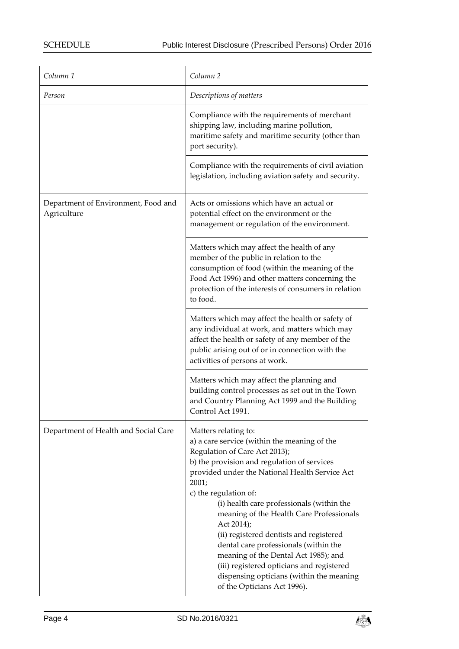| Column <sub>1</sub>                                | Column <sub>2</sub>                                                                                                                                                                                                                                                                                                                                                                                                                                                                                                                                                                                 |
|----------------------------------------------------|-----------------------------------------------------------------------------------------------------------------------------------------------------------------------------------------------------------------------------------------------------------------------------------------------------------------------------------------------------------------------------------------------------------------------------------------------------------------------------------------------------------------------------------------------------------------------------------------------------|
| Person                                             | Descriptions of matters                                                                                                                                                                                                                                                                                                                                                                                                                                                                                                                                                                             |
|                                                    | Compliance with the requirements of merchant<br>shipping law, including marine pollution,<br>maritime safety and maritime security (other than<br>port security).                                                                                                                                                                                                                                                                                                                                                                                                                                   |
|                                                    | Compliance with the requirements of civil aviation<br>legislation, including aviation safety and security.                                                                                                                                                                                                                                                                                                                                                                                                                                                                                          |
| Department of Environment, Food and<br>Agriculture | Acts or omissions which have an actual or<br>potential effect on the environment or the<br>management or regulation of the environment.                                                                                                                                                                                                                                                                                                                                                                                                                                                             |
|                                                    | Matters which may affect the health of any<br>member of the public in relation to the<br>consumption of food (within the meaning of the<br>Food Act 1996) and other matters concerning the<br>protection of the interests of consumers in relation<br>to food.                                                                                                                                                                                                                                                                                                                                      |
|                                                    | Matters which may affect the health or safety of<br>any individual at work, and matters which may<br>affect the health or safety of any member of the<br>public arising out of or in connection with the<br>activities of persons at work.                                                                                                                                                                                                                                                                                                                                                          |
|                                                    | Matters which may affect the planning and<br>building control processes as set out in the Town<br>and Country Planning Act 1999 and the Building<br>Control Act 1991.                                                                                                                                                                                                                                                                                                                                                                                                                               |
| Department of Health and Social Care               | Matters relating to:<br>a) a care service (within the meaning of the<br>Regulation of Care Act 2013);<br>b) the provision and regulation of services<br>provided under the National Health Service Act<br>2001;<br>c) the regulation of:<br>(i) health care professionals (within the<br>meaning of the Health Care Professionals<br>Act 2014);<br>(ii) registered dentists and registered<br>dental care professionals (within the<br>meaning of the Dental Act 1985); and<br>(iii) registered opticians and registered<br>dispensing opticians (within the meaning<br>of the Opticians Act 1996). |

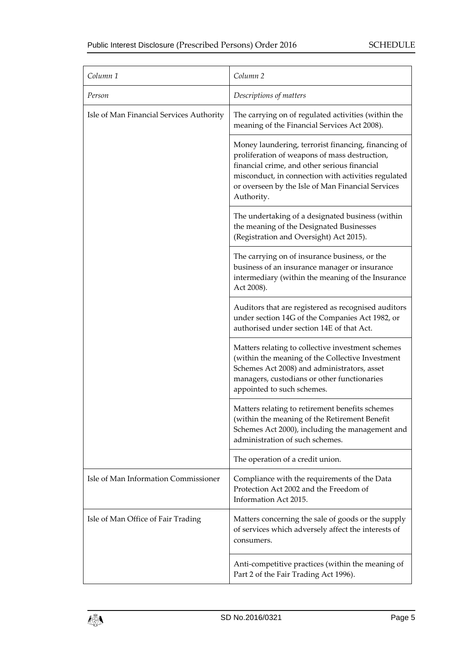| Column <sub>1</sub>                      | Column <sub>2</sub>                                                                                                                                                                                                                                                            |
|------------------------------------------|--------------------------------------------------------------------------------------------------------------------------------------------------------------------------------------------------------------------------------------------------------------------------------|
| Person                                   | Descriptions of matters                                                                                                                                                                                                                                                        |
| Isle of Man Financial Services Authority | The carrying on of regulated activities (within the<br>meaning of the Financial Services Act 2008).                                                                                                                                                                            |
|                                          | Money laundering, terrorist financing, financing of<br>proliferation of weapons of mass destruction,<br>financial crime, and other serious financial<br>misconduct, in connection with activities regulated<br>or overseen by the Isle of Man Financial Services<br>Authority. |
|                                          | The undertaking of a designated business (within<br>the meaning of the Designated Businesses<br>(Registration and Oversight) Act 2015).                                                                                                                                        |
|                                          | The carrying on of insurance business, or the<br>business of an insurance manager or insurance<br>intermediary (within the meaning of the Insurance<br>Act 2008).                                                                                                              |
|                                          | Auditors that are registered as recognised auditors<br>under section 14G of the Companies Act 1982, or<br>authorised under section 14E of that Act.                                                                                                                            |
|                                          | Matters relating to collective investment schemes<br>(within the meaning of the Collective Investment<br>Schemes Act 2008) and administrators, asset<br>managers, custodians or other functionaries<br>appointed to such schemes.                                              |
|                                          | Matters relating to retirement benefits schemes<br>(within the meaning of the Retirement Benefit<br>Schemes Act 2000), including the management and<br>administration of such schemes.                                                                                         |
|                                          | The operation of a credit union.                                                                                                                                                                                                                                               |
| Isle of Man Information Commissioner     | Compliance with the requirements of the Data<br>Protection Act 2002 and the Freedom of<br>Information Act 2015.                                                                                                                                                                |
| Isle of Man Office of Fair Trading       | Matters concerning the sale of goods or the supply<br>of services which adversely affect the interests of<br>consumers.                                                                                                                                                        |
|                                          | Anti-competitive practices (within the meaning of<br>Part 2 of the Fair Trading Act 1996).                                                                                                                                                                                     |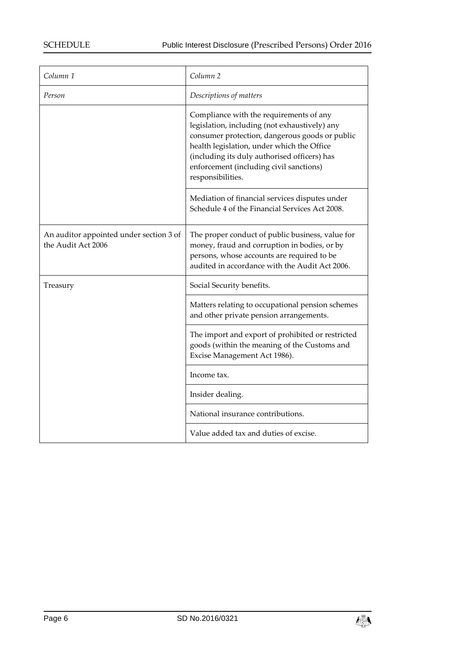| Column 1                                                      | Column <sub>2</sub>                                                                                                                                                                                                                                                                                      |
|---------------------------------------------------------------|----------------------------------------------------------------------------------------------------------------------------------------------------------------------------------------------------------------------------------------------------------------------------------------------------------|
| Person                                                        | Descriptions of matters                                                                                                                                                                                                                                                                                  |
|                                                               | Compliance with the requirements of any<br>legislation, including (not exhaustively) any<br>consumer protection, dangerous goods or public<br>health legislation, under which the Office<br>(including its duly authorised officers) has<br>enforcement (including civil sanctions)<br>responsibilities. |
|                                                               | Mediation of financial services disputes under<br>Schedule 4 of the Financial Services Act 2008.                                                                                                                                                                                                         |
| An auditor appointed under section 3 of<br>the Audit Act 2006 | The proper conduct of public business, value for<br>money, fraud and corruption in bodies, or by<br>persons, whose accounts are required to be<br>audited in accordance with the Audit Act 2006.                                                                                                         |
| Treasury                                                      | Social Security benefits.                                                                                                                                                                                                                                                                                |
|                                                               | Matters relating to occupational pension schemes<br>and other private pension arrangements.                                                                                                                                                                                                              |
|                                                               | The import and export of prohibited or restricted<br>goods (within the meaning of the Customs and<br>Excise Management Act 1986).                                                                                                                                                                        |
|                                                               | Income tax.                                                                                                                                                                                                                                                                                              |
|                                                               | Insider dealing.                                                                                                                                                                                                                                                                                         |
|                                                               | National insurance contributions.                                                                                                                                                                                                                                                                        |
|                                                               | Value added tax and duties of excise.                                                                                                                                                                                                                                                                    |